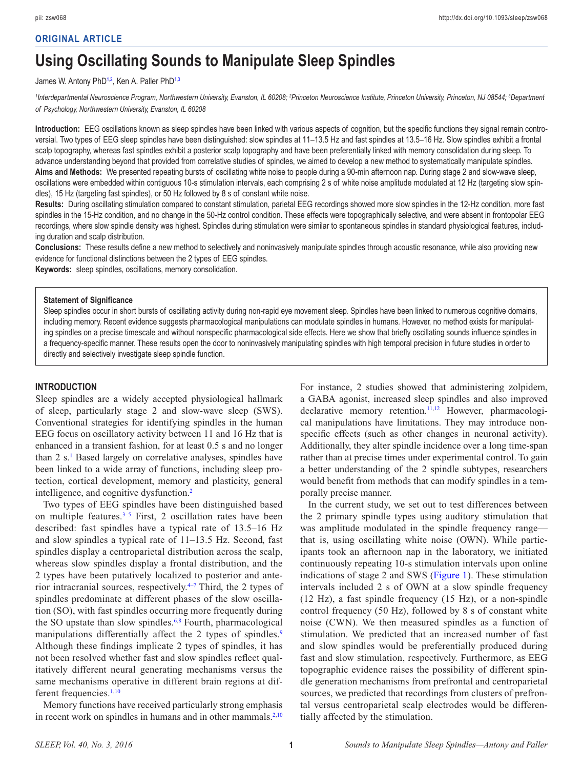# **ORIGINAL ARTICLE**

# **Using Oscillating Sounds to Manipulate Sleep Spindles**

#### James W. Antony PhD<sup>[1](#page-0-0)[,2](#page-0-1)</sup>, Ken A. Paller PhD<sup>1[,3](#page-0-2)</sup>

<span id="page-0-1"></span><span id="page-0-0"></span><sup>1</sup>Interdepartmental Neuroscience Program, Northwestern University, Evanston, IL 60208; <sup>2</sup>Princeton Neuroscience Institute, Princeton University, Princeton, NJ 08544; <sup>3</sup>Department *of Psychology, Northwestern University, Evanston, IL 60208*

**Introduction:** EEG oscillations known as sleep spindles have been linked with various aspects of cognition, but the specific functions they signal remain controversial. Two types of EEG sleep spindles have been distinguished: slow spindles at 11–13.5 Hz and fast spindles at 13.5–16 Hz. Slow spindles exhibit a frontal scalp topography, whereas fast spindles exhibit a posterior scalp topography and have been preferentially linked with memory consolidation during sleep. To advance understanding beyond that provided from correlative studies of spindles, we aimed to develop a new method to systematically manipulate spindles. **Aims and Methods:** We presented repeating bursts of oscillating white noise to people during a 90-min afternoon nap. During stage 2 and slow-wave sleep, oscillations were embedded within contiguous 10-s stimulation intervals, each comprising 2 s of white noise amplitude modulated at 12 Hz (targeting slow spindles), 15 Hz (targeting fast spindles), or 50 Hz followed by 8 s of constant white noise.

**Results:** During oscillating stimulation compared to constant stimulation, parietal EEG recordings showed more slow spindles in the 12-Hz condition, more fast spindles in the 15-Hz condition, and no change in the 50-Hz control condition. These effects were topographically selective, and were absent in frontopolar EEG recordings, where slow spindle density was highest. Spindles during stimulation were similar to spontaneous spindles in standard physiological features, including duration and scalp distribution.

**Conclusions:** These results define a new method to selectively and noninvasively manipulate spindles through acoustic resonance, while also providing new evidence for functional distinctions between the 2 types of EEG spindles.

**Keywords:** sleep spindles, oscillations, memory consolidation.

#### **Statement of Significance**

Sleep spindles occur in short bursts of oscillating activity during non-rapid eye movement sleep. Spindles have been linked to numerous cognitive domains, including memory. Recent evidence suggests pharmacological manipulations can modulate spindles in humans. However, no method exists for manipulating spindles on a precise timescale and without nonspecific pharmacological side effects. Here we show that briefly oscillating sounds influence spindles in a frequency-specific manner. These results open the door to noninvasively manipulating spindles with high temporal precision in future studies in order to directly and selectively investigate sleep spindle function.

#### **INTRODUCTION**

Sleep spindles are a widely accepted physiological hallmark of sleep, particularly stage 2 and slow-wave sleep (SWS). Conventional strategies for identifying spindles in the human EEG focus on oscillatory activity between 11 and 16 Hz that is enhanced in a transient fashion, for at least 0.5 s and no longer than 2 s.<sup>[1](#page-6-0)</sup> Based largely on correlative analyses, spindles have been linked to a wide array of functions, including sleep protection, cortical development, memory and plasticity, general intelligence, and cognitive dysfunction[.2](#page-6-1)

Two types of EEG spindles have been distinguished based on multiple features.<sup>3-5</sup> First, 2 oscillation rates have been described: fast spindles have a typical rate of 13.5–16 Hz and slow spindles a typical rate of 11–13.5 Hz. Second, fast spindles display a centroparietal distribution across the scalp, whereas slow spindles display a frontal distribution, and the 2 types have been putatively localized to posterior and anterior intracranial sources, respectively[.4–7](#page-6-3) Third, the 2 types of spindles predominate at different phases of the slow oscillation (SO), with fast spindles occurring more frequently during the SO upstate than slow spindles.<sup>6,[8](#page-6-5)</sup> Fourth, pharmacological manipulations differentially affect the 2 types of spindles.<sup>[9](#page-6-6)</sup> Although these findings implicate 2 types of spindles, it has not been resolved whether fast and slow spindles reflect qualitatively different neural generating mechanisms versus the same mechanisms operative in different brain regions at different frequencies[.1](#page-6-0),[10](#page-6-7)

Memory functions have received particularly strong emphasis in recent work on spindles in humans and in other mammals. $2,10$  $2,10$ 

<span id="page-0-2"></span>For instance, 2 studies showed that administering zolpidem, a GABA agonist, increased sleep spindles and also improved declarative memory retention.<sup>11[,12](#page-6-9)</sup> However, pharmacological manipulations have limitations. They may introduce nonspecific effects (such as other changes in neuronal activity). Additionally, they alter spindle incidence over a long time-span rather than at precise times under experimental control. To gain a better understanding of the 2 spindle subtypes, researchers would benefit from methods that can modify spindles in a temporally precise manner.

In the current study, we set out to test differences between the 2 primary spindle types using auditory stimulation that was amplitude modulated in the spindle frequency range that is, using oscillating white noise (OWN). While participants took an afternoon nap in the laboratory, we initiated continuously repeating 10-s stimulation intervals upon online indications of stage 2 and SWS ([Figure](#page-1-0) 1). These stimulation intervals included 2 s of OWN at a slow spindle frequency (12 Hz), a fast spindle frequency (15 Hz), or a non-spindle control frequency (50 Hz), followed by 8 s of constant white noise (CWN). We then measured spindles as a function of stimulation. We predicted that an increased number of fast and slow spindles would be preferentially produced during fast and slow stimulation, respectively. Furthermore, as EEG topographic evidence raises the possibility of different spindle generation mechanisms from prefrontal and centroparietal sources, we predicted that recordings from clusters of prefrontal versus centroparietal scalp electrodes would be differentially affected by the stimulation.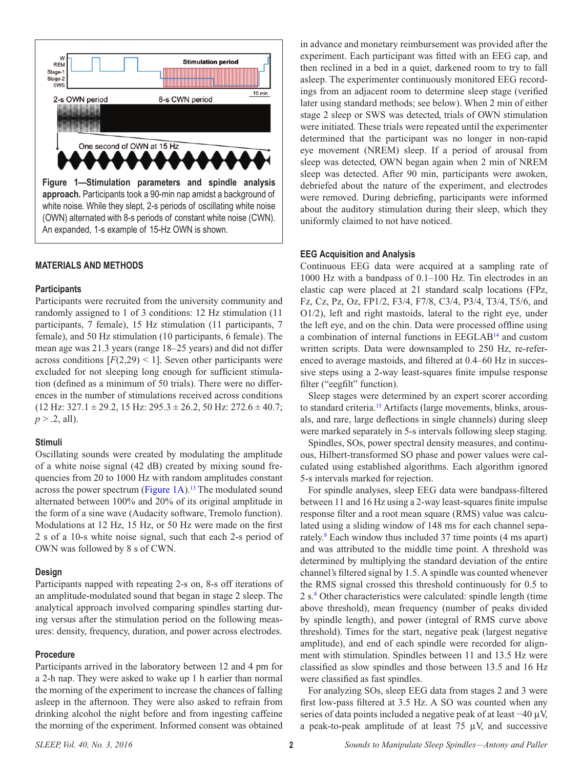

## <span id="page-1-0"></span>**MATERIALS AND METHODS**

#### **Participants**

Participants were recruited from the university community and randomly assigned to 1 of 3 conditions: 12 Hz stimulation (11 participants, 7 female), 15 Hz stimulation (11 participants, 7 female), and 50 Hz stimulation (10 participants, 6 female). The mean age was 21.3 years (range 18–25 years) and did not differ across conditions  $[F(2,29) \le 1]$ . Seven other participants were excluded for not sleeping long enough for sufficient stimulation (defined as a minimum of 50 trials). There were no differences in the number of stimulations received across conditions  $(12 \text{ Hz}; 327.1 \pm 29.2, 15 \text{ Hz}; 295.3 \pm 26.2, 50 \text{ Hz}; 272.6 \pm 40.7;$  $p > .2$ , all).

#### **Stimuli**

Oscillating sounds were created by modulating the amplitude of a white noise signal (42 dB) created by mixing sound frequencies from 20 to 1000 Hz with random amplitudes constant across the power spectrum [\(Figure](#page-1-0) 1[A\)](#page-1-0).<sup>13</sup> The modulated sound alternated between 100% and 20% of its original amplitude in the form of a sine wave (Audacity software, Tremolo function). Modulations at 12 Hz, 15 Hz, or 50 Hz were made on the first 2 s of a 10-s white noise signal, such that each 2-s period of OWN was followed by 8 s of CWN.

#### **Design**

Participants napped with repeating 2-s on, 8-s off iterations of an amplitude-modulated sound that began in stage 2 sleep. The analytical approach involved comparing spindles starting during versus after the stimulation period on the following measures: density, frequency, duration, and power across electrodes.

#### **Procedure**

Participants arrived in the laboratory between 12 and 4 pm for a 2-h nap. They were asked to wake up 1 h earlier than normal the morning of the experiment to increase the chances of falling asleep in the afternoon. They were also asked to refrain from drinking alcohol the night before and from ingesting caffeine the morning of the experiment. Informed consent was obtained

in advance and monetary reimbursement was provided after the experiment. Each participant was fitted with an EEG cap, and then reclined in a bed in a quiet, darkened room to try to fall asleep. The experimenter continuously monitored EEG recordings from an adjacent room to determine sleep stage (verified later using standard methods; see below). When 2 min of either stage 2 sleep or SWS was detected, trials of OWN stimulation were initiated. These trials were repeated until the experimenter determined that the participant was no longer in non-rapid eye movement (NREM) sleep. If a period of arousal from sleep was detected, OWN began again when 2 min of NREM sleep was detected. After 90 min, participants were awoken, debriefed about the nature of the experiment, and electrodes were removed. During debriefing, participants were informed about the auditory stimulation during their sleep, which they uniformly claimed to not have noticed.

#### **EEG Acquisition and Analysis**

Continuous EEG data were acquired at a sampling rate of 1000 Hz with a bandpass of 0.1–100 Hz. Tin electrodes in an elastic cap were placed at 21 standard scalp locations (FPz, Fz, Cz, Pz, Oz, FP1/2, F3/4, F7/8, C3/4, P3/4, T3/4, T5/6, and O1/2), left and right mastoids, lateral to the right eye, under the left eye, and on the chin. Data were processed offline using a combination of internal functions in EEGLAB[14](#page-6-11) and custom written scripts. Data were downsampled to 250 Hz, re-referenced to average mastoids, and filtered at 0.4–60 Hz in successive steps using a 2-way least-squares finite impulse response filter ("eegfilt" function).

Sleep stages were determined by an expert scorer according to standard criteria[.15](#page-6-12) Artifacts (large movements, blinks, arousals, and rare, large deflections in single channels) during sleep were marked separately in 5-s intervals following sleep staging.

Spindles, SOs, power spectral density measures, and continuous, Hilbert-transformed SO phase and power values were calculated using established algorithms. Each algorithm ignored 5-s intervals marked for rejection.

For spindle analyses, sleep EEG data were bandpass-filtered between 11 and 16 Hz using a 2-way least-squares finite impulse response filter and a root mean square (RMS) value was calculated using a sliding window of 148 ms for each channel separately.<sup>8</sup> Each window thus included 37 time points (4 ms apart) and was attributed to the middle time point. A threshold was determined by multiplying the standard deviation of the entire channel's filtered signal by 1.5. A spindle was counted whenever the RMS signal crossed this threshold continuously for 0.5 to 2 s.<sup>[8](#page-6-5)</sup> Other characteristics were calculated: spindle length (time above threshold), mean frequency (number of peaks divided by spindle length), and power (integral of RMS curve above threshold). Times for the start, negative peak (largest negative amplitude), and end of each spindle were recorded for alignment with stimulation. Spindles between 11 and 13.5 Hz were classified as slow spindles and those between 13.5 and 16 Hz were classified as fast spindles.

For analyzing SOs, sleep EEG data from stages 2 and 3 were first low-pass filtered at 3.5 Hz. A SO was counted when any series of data points included a negative peak of at least −40 μV, a peak-to-peak amplitude of at least  $75 \mu V$ , and successive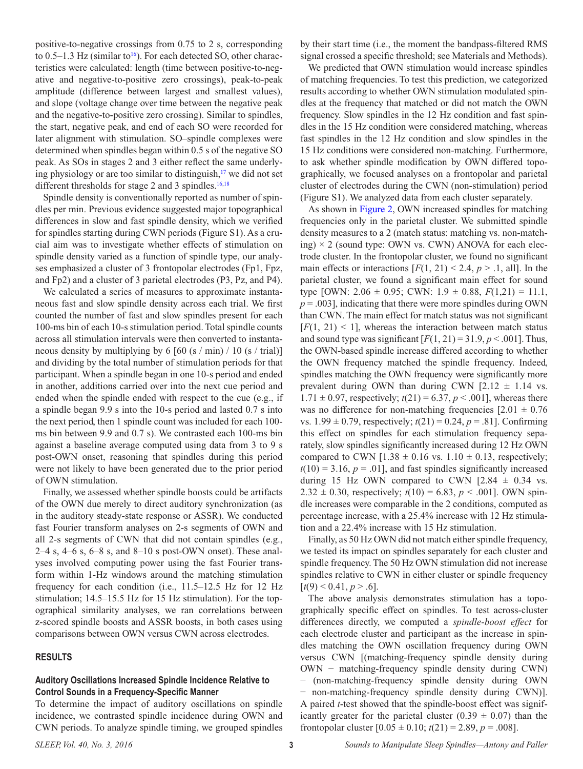positive-to-negative crossings from 0.75 to 2 s, corresponding to  $0.5-1.3$  Hz (similar to<sup>16</sup>). For each detected SO, other characteristics were calculated: length (time between positive-to-negative and negative-to-positive zero crossings), peak-to-peak amplitude (difference between largest and smallest values), and slope (voltage change over time between the negative peak and the negative-to-positive zero crossing). Similar to spindles, the start, negative peak, and end of each SO were recorded for later alignment with stimulation. SO–spindle complexes were determined when spindles began within 0.5 s of the negative SO peak. As SOs in stages 2 and 3 either reflect the same underlying physiology or are too similar to distinguish, $\frac{17}{12}$  $\frac{17}{12}$  $\frac{17}{12}$  we did not set different thresholds for stage 2 and 3 spindles. $16,18$  $16,18$ 

Spindle density is conventionally reported as number of spindles per min. Previous evidence suggested major topographical differences in slow and fast spindle density, which we verified for spindles starting during CWN periods (Figure S1). As a crucial aim was to investigate whether effects of stimulation on spindle density varied as a function of spindle type, our analyses emphasized a cluster of 3 frontopolar electrodes (Fp1, Fpz, and Fp2) and a cluster of 3 parietal electrodes (P3, Pz, and P4).

We calculated a series of measures to approximate instantaneous fast and slow spindle density across each trial. We first counted the number of fast and slow spindles present for each 100-ms bin of each 10-s stimulation period. Total spindle counts across all stimulation intervals were then converted to instantaneous density by multiplying by 6 [60 (s / min) / 10 (s / trial)] and dividing by the total number of stimulation periods for that participant. When a spindle began in one 10-s period and ended in another, additions carried over into the next cue period and ended when the spindle ended with respect to the cue (e.g., if a spindle began 9.9 s into the 10-s period and lasted 0.7 s into the next period, then 1 spindle count was included for each 100 ms bin between 9.9 and 0.7 s). We contrasted each 100-ms bin against a baseline average computed using data from 3 to 9 s post-OWN onset, reasoning that spindles during this period were not likely to have been generated due to the prior period of OWN stimulation.

Finally, we assessed whether spindle boosts could be artifacts of the OWN due merely to direct auditory synchronization (as in the auditory steady-state response or ASSR). We conducted fast Fourier transform analyses on 2-s segments of OWN and all 2-s segments of CWN that did not contain spindles (e.g., 2–4 s, 4–6 s, 6–8 s, and 8–10 s post-OWN onset). These analyses involved computing power using the fast Fourier transform within 1-Hz windows around the matching stimulation frequency for each condition (i.e., 11.5–12.5 Hz for 12 Hz stimulation; 14.5–15.5 Hz for 15 Hz stimulation). For the topographical similarity analyses, we ran correlations between z-scored spindle boosts and ASSR boosts, in both cases using comparisons between OWN versus CWN across electrodes.

#### **RESULTS**

# **Auditory Oscillations Increased Spindle Incidence Relative to Control Sounds in a Frequency-Specific Manner**

To determine the impact of auditory oscillations on spindle incidence, we contrasted spindle incidence during OWN and CWN periods. To analyze spindle timing, we grouped spindles

by their start time (i.e., the moment the bandpass-filtered RMS signal crossed a specific threshold; see Materials and Methods).

We predicted that OWN stimulation would increase spindles of matching frequencies. To test this prediction, we categorized results according to whether OWN stimulation modulated spindles at the frequency that matched or did not match the OWN frequency. Slow spindles in the 12 Hz condition and fast spindles in the 15 Hz condition were considered matching, whereas fast spindles in the 12 Hz condition and slow spindles in the 15 Hz conditions were considered non-matching. Furthermore, to ask whether spindle modification by OWN differed topographically, we focused analyses on a frontopolar and parietal cluster of electrodes during the CWN (non-stimulation) period (Figure S1). We analyzed data from each cluster separately.

As shown in [Figure](#page-3-0) 2, OWN increased spindles for matching frequencies only in the parietal cluster. We submitted spindle density measures to a 2 (match status: matching vs. non-matching)  $\times$  2 (sound type: OWN vs. CWN) ANOVA for each electrode cluster. In the frontopolar cluster, we found no significant main effects or interactions  $[F(1, 21) < 2.4, p > .1, all]$ . In the parietal cluster, we found a significant main effect for sound type [OWN:  $2.06 \pm 0.95$ ; CWN:  $1.9 \pm 0.88$ ,  $F(1,21) = 11.1$ ,  $p = .003$ ], indicating that there were more spindles during OWN than CWN. The main effect for match status was not significant  $[F(1, 21) < 1]$ , whereas the interaction between match status and sound type was significant  $[F(1, 21) = 31.9, p < .001]$ . Thus, the OWN-based spindle increase differed according to whether the OWN frequency matched the spindle frequency. Indeed, spindles matching the OWN frequency were significantly more prevalent during OWN than during CWN  $[2.12 \pm 1.14 \text{ vs.}$  $1.71 \pm 0.97$ , respectively;  $t(21) = 6.37, p < .001$ , whereas there was no difference for non-matching frequencies  $[2.01 \pm 0.76$ vs.  $1.99 \pm 0.79$ , respectively;  $t(21) = 0.24$ ,  $p = .81$ ]. Confirming this effect on spindles for each stimulation frequency separately, slow spindles significantly increased during 12 Hz OWN compared to CWN  $[1.38 \pm 0.16 \text{ vs. } 1.10 \pm 0.13]$ , respectively;  $t(10) = 3.16$ ,  $p = .01$ , and fast spindles significantly increased during 15 Hz OWN compared to CWN  $[2.84 \pm 0.34 \text{ vs.}$ 2.32  $\pm$  0.30, respectively;  $t(10) = 6.83$ ,  $p < .001$ ]. OWN spindle increases were comparable in the 2 conditions, computed as percentage increase, with a 25.4% increase with 12 Hz stimulation and a 22.4% increase with 15 Hz stimulation.

Finally, as 50 Hz OWN did not match either spindle frequency, we tested its impact on spindles separately for each cluster and spindle frequency. The 50 Hz OWN stimulation did not increase spindles relative to CWN in either cluster or spindle frequency  $[t(9) < 0.41, p > .6]$ .

The above analysis demonstrates stimulation has a topographically specific effect on spindles. To test across-cluster differences directly, we computed a *spindle-boost effect* for each electrode cluster and participant as the increase in spindles matching the OWN oscillation frequency during OWN versus CWN [(matching-frequency spindle density during OWN - matching-frequency spindle density during CWN) − (non-matching-frequency spindle density during OWN − non-matching-frequency spindle density during CWN)]. A paired *t*-test showed that the spindle-boost effect was significantly greater for the parietal cluster (0.39  $\pm$  0.07) than the frontopolar cluster  $[0.05 \pm 0.10; t(21) = 2.89, p = .008]$ .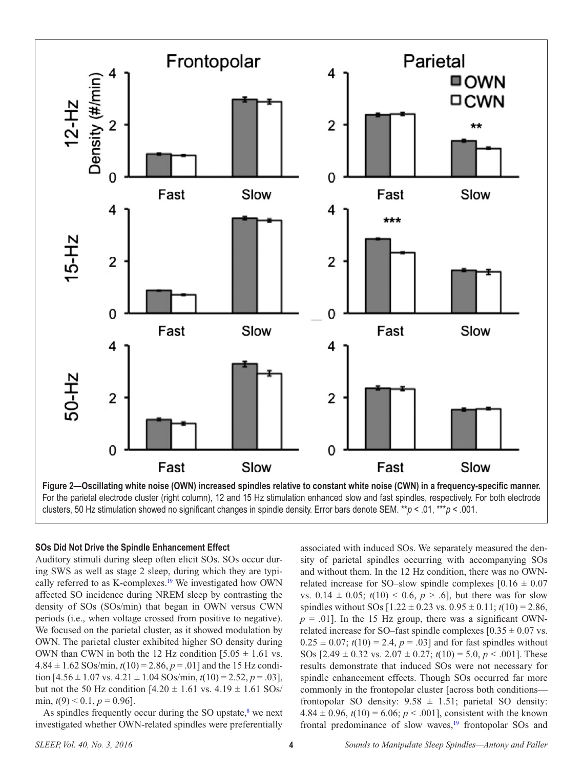

<span id="page-3-0"></span>For the parietal electrode cluster (right column), 12 and 15 Hz stimulation enhanced slow and fast spindles, respectively. For both electrode clusters, 50 Hz stimulation showed no significant changes in spindle density. Error bars denote SEM. \*\**p* < .01, \*\*\**p* < .001.

#### **SOs Did Not Drive the Spindle Enhancement Effect**

Auditory stimuli during sleep often elicit SOs. SOs occur during SWS as well as stage 2 sleep, during which they are typically referred to as K-complexes.<sup>19</sup> We investigated how OWN affected SO incidence during NREM sleep by contrasting the density of SOs (SOs/min) that began in OWN versus CWN periods (i.e., when voltage crossed from positive to negative). We focused on the parietal cluster, as it showed modulation by OWN. The parietal cluster exhibited higher SO density during OWN than CWN in both the 12 Hz condition  $[5.05 \pm 1.61 \text{ vs.}$  $4.84 \pm 1.62$  SOs/min,  $t(10) = 2.86$ ,  $p = .01$ ] and the 15 Hz condition  $[4.56 \pm 1.07 \text{ vs. } 4.21 \pm 1.04 \text{ SOs/min}, t(10) = 2.52, p = .03]$ , but not the 50 Hz condition  $[4.20 \pm 1.61 \text{ vs. } 4.19 \pm 1.61 \text{ SOs}$ / min,  $t(9) < 0.1$ ,  $p = 0.96$ ].

As spindles frequently occur during the SO upstate, $\delta$  we next investigated whether OWN-related spindles were preferentially

associated with induced SOs. We separately measured the density of parietal spindles occurring with accompanying SOs and without them. In the 12 Hz condition, there was no OWNrelated increase for SO–slow spindle complexes  $[0.16 \pm 0.07]$ vs.  $0.14 \pm 0.05$ ;  $t(10) < 0.6$ ,  $p > .6$ ], but there was for slow spindles without SOs  $[1.22 \pm 0.23 \text{ vs. } 0.95 \pm 0.11; t(10) = 2.86,$  $p = .01$ ]. In the 15 Hz group, there was a significant OWNrelated increase for SO–fast spindle complexes  $[0.35 \pm 0.07 \text{ vs.}$  $0.25 \pm 0.07$ ;  $t(10) = 2.4$ ,  $p = .03$ ] and for fast spindles without SOs  $[2.49 \pm 0.32 \text{ vs. } 2.07 \pm 0.27; t(10) = 5.0, p < .001]$ . These results demonstrate that induced SOs were not necessary for spindle enhancement effects. Though SOs occurred far more commonly in the frontopolar cluster [across both conditions frontopolar SO density:  $9.58 \pm 1.51$ ; parietal SO density:  $4.84 \pm 0.96$ ,  $t(10) = 6.06$ ;  $p < .001$ ], consistent with the known frontal predominance of slow waves, $19$  frontopolar SOs and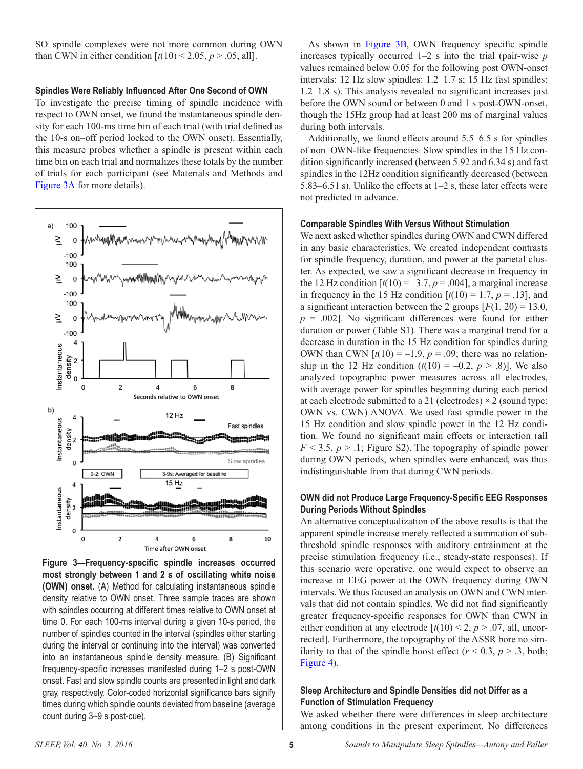SO–spindle complexes were not more common during OWN than CWN in either condition  $[t(10) < 2.05, p > .05, all]$ .

#### **Spindles Were Reliably Influenced After One Second of OWN**

To investigate the precise timing of spindle incidence with respect to OWN onset, we found the instantaneous spindle density for each 100-ms time bin of each trial (with trial defined as the 10-s on–off period locked to the OWN onset). Essentially, this measure probes whether a spindle is present within each time bin on each trial and normalizes these totals by the number of trials for each participant (see Materials and Methods and [Figure](#page-4-0) 3A for more details).



<span id="page-4-0"></span>**Figure 3—Frequency-specific spindle increases occurred most strongly between 1 and 2 s of oscillating white noise (OWN) onset.** (A) Method for calculating instantaneous spindle density relative to OWN onset. Three sample traces are shown with spindles occurring at different times relative to OWN onset at time 0. For each 100-ms interval during a given 10-s period, the number of spindles counted in the interval (spindles either starting during the interval or continuing into the interval) was converted into an instantaneous spindle density measure. (B) Significant frequency-specific increases manifested during 1–2 s post-OWN onset. Fast and slow spindle counts are presented in light and dark gray, respectively. Color-coded horizontal significance bars signify times during which spindle counts deviated from baseline (average count during 3–9 s post-cue).

As shown in [Figure](#page-4-0) 3[B](#page-4-0), OWN frequency–specific spindle increases typically occurred 1–2 s into the trial (pair-wise *p* values remained below 0.05 for the following post OWN-onset intervals: 12 Hz slow spindles: 1.2–1.7 s; 15 Hz fast spindles: 1.2–1.8 s). This analysis revealed no significant increases just before the OWN sound or between 0 and 1 s post-OWN-onset, though the 15Hz group had at least 200 ms of marginal values during both intervals.

Additionally, we found effects around 5.5–6.5 s for spindles of non–OWN-like frequencies. Slow spindles in the 15 Hz condition significantly increased (between 5.92 and 6.34 s) and fast spindles in the 12Hz condition significantly decreased (between 5.83–6.51 s). Unlike the effects at 1–2 s, these later effects were not predicted in advance.

#### **Comparable Spindles With Versus Without Stimulation**

We next asked whether spindles during OWN and CWN differed in any basic characteristics. We created independent contrasts for spindle frequency, duration, and power at the parietal cluster. As expected, we saw a significant decrease in frequency in the 12 Hz condition  $[t(10) = -3.7, p = .004]$ , a marginal increase in frequency in the 15 Hz condition  $[t(10) = 1.7, p = .13]$ , and a significant interaction between the 2 groups  $[F(1, 20) = 13.0]$ ,  $p = .002$ ]. No significant differences were found for either duration or power (Table S1). There was a marginal trend for a decrease in duration in the 15 Hz condition for spindles during OWN than CWN  $[t(10) = -1.9, p = .09]$ ; there was no relationship in the 12 Hz condition  $(t(10) = -0.2, p > .8)$ ]. We also analyzed topographic power measures across all electrodes, with average power for spindles beginning during each period at each electrode submitted to a 21 (electrodes)  $\times$  2 (sound type: OWN vs. CWN) ANOVA. We used fast spindle power in the 15 Hz condition and slow spindle power in the 12 Hz condition. We found no significant main effects or interaction (all  $F \leq 3.5$ ,  $p > 0.1$ ; Figure S2). The topography of spindle power during OWN periods, when spindles were enhanced, was thus indistinguishable from that during CWN periods.

# **OWN did not Produce Large Frequency-Specific EEG Responses During Periods Without Spindles**

An alternative conceptualization of the above results is that the apparent spindle increase merely reflected a summation of subthreshold spindle responses with auditory entrainment at the precise stimulation frequency (i.e., steady-state responses). If this scenario were operative, one would expect to observe an increase in EEG power at the OWN frequency during OWN intervals. We thus focused an analysis on OWN and CWN intervals that did not contain spindles. We did not find significantly greater frequency-specific responses for OWN than CWN in either condition at any electrode  $[t(10) < 2, p > .07,$  all, uncorrected]. Furthermore, the topography of the ASSR bore no similarity to that of the spindle boost effect  $(r < 0.3, p > .3, \text{ both};$ [Figure](#page-5-0) 4).

# **Sleep Architecture and Spindle Densities did not Differ as a Function of Stimulation Frequency**

We asked whether there were differences in sleep architecture among conditions in the present experiment. No differences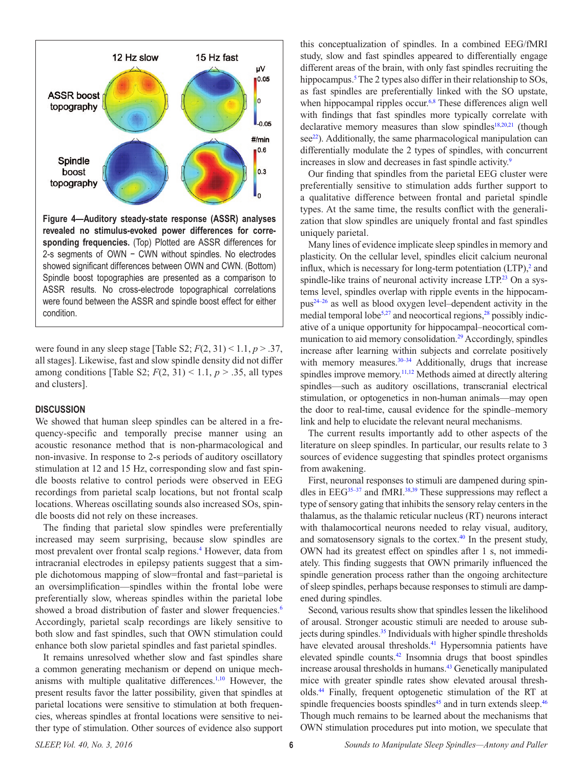

<span id="page-5-0"></span>**Figure 4—Auditory steady-state response (ASSR) analyses revealed no stimulus-evoked power differences for corresponding frequencies.** (Top) Plotted are ASSR differences for 2-s segments of OWN − CWN without spindles. No electrodes showed significant differences between OWN and CWN. (Bottom) Spindle boost topographies are presented as a comparison to ASSR results. No cross-electrode topographical correlations were found between the ASSR and spindle boost effect for either condition.

were found in any sleep stage [Table S2;  $F(2, 31) < 1.1, p > .37$ , all stages]. Likewise, fast and slow spindle density did not differ among conditions [Table S2;  $F(2, 31) < 1.1$ ,  $p > .35$ , all types and clusters].

## **DISCUSSION**

We showed that human sleep spindles can be altered in a frequency-specific and temporally precise manner using an acoustic resonance method that is non-pharmacological and non-invasive. In response to 2-s periods of auditory oscillatory stimulation at 12 and 15 Hz, corresponding slow and fast spindle boosts relative to control periods were observed in EEG recordings from parietal scalp locations, but not frontal scalp locations. Whereas oscillating sounds also increased SOs, spindle boosts did not rely on these increases.

The finding that parietal slow spindles were preferentially increased may seem surprising, because slow spindles are most prevalent over frontal scalp regions.<sup>[4](#page-6-3)</sup> However, data from intracranial electrodes in epilepsy patients suggest that a simple dichotomous mapping of slow=frontal and fast=parietal is an oversimplification—spindles within the frontal lobe were preferentially slow, whereas spindles within the parietal lobe showed a broad distribution of faster and slower frequencies.<sup>6</sup> Accordingly, parietal scalp recordings are likely sensitive to both slow and fast spindles, such that OWN stimulation could enhance both slow parietal spindles and fast parietal spindles.

It remains unresolved whether slow and fast spindles share a common generating mechanism or depend on unique mech-anisms with multiple qualitative differences.<sup>1[,10](#page-6-7)</sup> However, the present results favor the latter possibility, given that spindles at parietal locations were sensitive to stimulation at both frequencies, whereas spindles at frontal locations were sensitive to neither type of stimulation. Other sources of evidence also support this conceptualization of spindles. In a combined EEG/fMRI study, slow and fast spindles appeared to differentially engage different areas of the brain, with only fast spindles recruiting the hippocampus.<sup>[5](#page-6-17)</sup> The 2 types also differ in their relationship to SOs, as fast spindles are preferentially linked with the SO upstate, when hippocampal ripples occur.<sup>[6,](#page-6-4)[8](#page-6-5)</sup> These differences align well with findings that fast spindles more typically correlate with declarative memory measures than slow spindles $18,20,21$  $18,20,21$  $18,20,21$  $18,20,21$  (though see<sup>22</sup>). Additionally, the same pharmacological manipulation can differentially modulate the 2 types of spindles, with concurrent increases in slow and decreases in fast spindle activity.<sup>[9](#page-6-6)</sup>

Our finding that spindles from the parietal EEG cluster were preferentially sensitive to stimulation adds further support to a qualitative difference between frontal and parietal spindle types. At the same time, the results conflict with the generalization that slow spindles are uniquely frontal and fast spindles uniquely parietal.

Many lines of evidence implicate sleep spindles in memory and plasticity. On the cellular level, spindles elicit calcium neuronal influx, which is necessary for long-term potentiation  $(LTP)$ , and spindle-like trains of neuronal activity increase LTP.<sup>23</sup> On a systems level, spindles overlap with ripple events in the hippocampus[24–26](#page-6-22) as well as blood oxygen level–dependent activity in the medial temporal lobe<sup>5,[27](#page-7-0)</sup> and neocortical regions,<sup>28</sup> possibly indicative of a unique opportunity for hippocampal–neocortical communication to aid memory consolidation.<sup>29</sup> Accordingly, spindles increase after learning within subjects and correlate positively with memory measures.<sup>30–34</sup> Additionally, drugs that increase spindles improve memory.<sup>11,12</sup> Methods aimed at directly altering spindles—such as auditory oscillations, transcranial electrical stimulation, or optogenetics in non-human animals—may open the door to real-time, causal evidence for the spindle–memory link and help to elucidate the relevant neural mechanisms.

The current results importantly add to other aspects of the literature on sleep spindles. In particular, our results relate to 3 sources of evidence suggesting that spindles protect organisms from awakening.

First, neuronal responses to stimuli are dampened during spindles in  $EEG^{35-37}$  and fMRI.<sup>[38](#page-7-5),[39](#page-7-6)</sup> These suppressions may reflect a type of sensory gating that inhibits the sensory relay centers in the thalamus, as the thalamic reticular nucleus (RT) neurons interact with thalamocortical neurons needed to relay visual, auditory, and somatosensory signals to the cortex.<sup>40</sup> In the present study, OWN had its greatest effect on spindles after 1 s, not immediately. This finding suggests that OWN primarily influenced the spindle generation process rather than the ongoing architecture of sleep spindles, perhaps because responses to stimuli are dampened during spindles.

Second, various results show that spindles lessen the likelihood of arousal. Stronger acoustic stimuli are needed to arouse sub-jects during spindles.<sup>[35](#page-7-4)</sup> Individuals with higher spindle thresholds have elevated arousal thresholds.<sup>41</sup> Hypersomnia patients have elevated spindle counts[.42](#page-7-9) Insomnia drugs that boost spindles increase arousal thresholds in humans.<sup>43</sup> Genetically manipulated mice with greater spindle rates show elevated arousal thresholds.[44](#page-7-11) Finally, frequent optogenetic stimulation of the RT at spindle frequencies boosts spindles<sup>45</sup> and in turn extends sleep.<sup>46</sup> Though much remains to be learned about the mechanisms that OWN stimulation procedures put into motion, we speculate that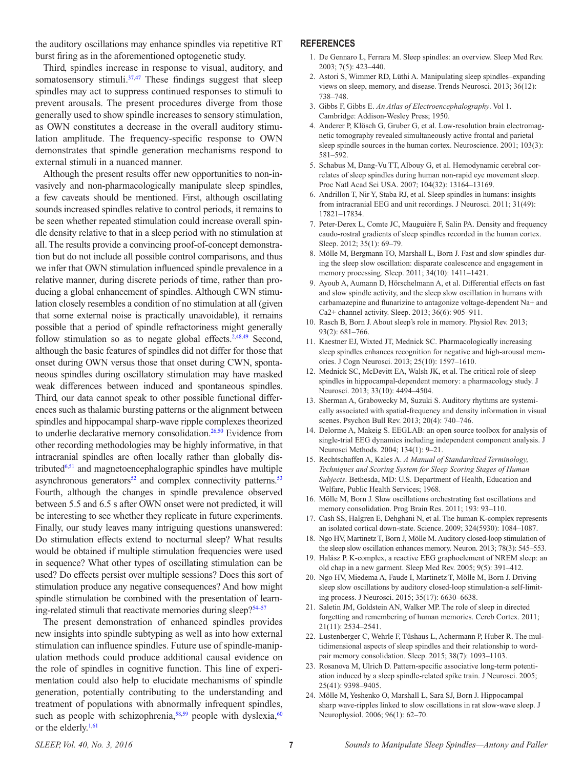the auditory oscillations may enhance spindles via repetitive RT burst firing as in the aforementioned optogenetic study.

Third, spindles increase in response to visual, auditory, and somatosensory stimuli.<sup>[37](#page-7-14),47</sup> These findings suggest that sleep spindles may act to suppress continued responses to stimuli to prevent arousals. The present procedures diverge from those generally used to show spindle increases to sensory stimulation, as OWN constitutes a decrease in the overall auditory stimulation amplitude. The frequency-specific response to OWN demonstrates that spindle generation mechanisms respond to external stimuli in a nuanced manner.

Although the present results offer new opportunities to non-invasively and non-pharmacologically manipulate sleep spindles, a few caveats should be mentioned. First, although oscillating sounds increased spindles relative to control periods, it remains to be seen whether repeated stimulation could increase overall spindle density relative to that in a sleep period with no stimulation at all. The results provide a convincing proof-of-concept demonstration but do not include all possible control comparisons, and thus we infer that OWN stimulation influenced spindle prevalence in a relative manner, during discrete periods of time, rather than producing a global enhancement of spindles. Although CWN stimulation closely resembles a condition of no stimulation at all (given that some external noise is practically unavoidable), it remains possible that a period of spindle refractoriness might generally follow stimulation so as to negate global effects.<sup>2[,48](#page-7-16)[,49](#page-7-17)</sup> Second, although the basic features of spindles did not differ for those that onset during OWN versus those that onset during CWN, spontaneous spindles during oscillatory stimulation may have masked weak differences between induced and spontaneous spindles. Third, our data cannot speak to other possible functional differences such as thalamic bursting patterns or the alignment between spindles and hippocampal sharp-wave ripple complexes theorized to underlie declarative memory consolidation.<sup>[26](#page-7-18),[50](#page-7-19)</sup> Evidence from other recording methodologies may be highly informative, in that intracranial spindles are often locally rather than globally distributed $6,51$  and magnetoencephalographic spindles have multiple asynchronous generators $52$  and complex connectivity patterns.<sup>53</sup> Fourth, although the changes in spindle prevalence observed between 5.5 and 6.5 s after OWN onset were not predicted, it will be interesting to see whether they replicate in future experiments. Finally, our study leaves many intriguing questions unanswered: Do stimulation effects extend to nocturnal sleep? What results would be obtained if multiple stimulation frequencies were used in sequence? What other types of oscillating stimulation can be used? Do effects persist over multiple sessions? Does this sort of stimulation produce any negative consequences? And how might spindle stimulation be combined with the presentation of learning-related stimuli that reactivate memories during sleep? $54-57$ 

The present demonstration of enhanced spindles provides new insights into spindle subtyping as well as into how external stimulation can influence spindles. Future use of spindle-manipulation methods could produce additional causal evidence on the role of spindles in cognitive function. This line of experimentation could also help to elucidate mechanisms of spindle generation, potentially contributing to the understanding and treatment of populations with abnormally infrequent spindles, such as people with schizophrenia, $58,59$  $58,59$  people with dyslexia, $60$ or the elderly.<sup>1[,61](#page-7-27)</sup>

#### **REFERENCES**

- <span id="page-6-0"></span>1. De Gennaro L, Ferrara M. Sleep spindles: an overview. Sleep Med Rev. 2003; 7(5): 423–440.
- <span id="page-6-1"></span>2. Astori S, Wimmer RD, Lüthi A. Manipulating sleep spindles–expanding views on sleep, memory, and disease. Trends Neurosci. 2013; 36(12): 738–748.
- <span id="page-6-2"></span>3. Gibbs F, Gibbs E. *An Atlas of Electroencephalography*. Vol 1. Cambridge: Addison-Wesley Press; 1950.
- <span id="page-6-3"></span>4. Anderer P, Klösch G, Gruber G, et al. Low-resolution brain electromagnetic tomography revealed simultaneously active frontal and parietal sleep spindle sources in the human cortex. Neuroscience. 2001; 103(3): 581–592.
- <span id="page-6-17"></span>5. Schabus M, Dang-Vu TT, Albouy G, et al. Hemodynamic cerebral correlates of sleep spindles during human non-rapid eye movement sleep. Proc Natl Acad Sci USA. 2007; 104(32): 13164–13169.
- <span id="page-6-4"></span>6. Andrillon T, Nir Y, Staba RJ, et al. Sleep spindles in humans: insights from intracranial EEG and unit recordings. J Neurosci. 2011; 31(49): 17821–17834.
- 7. Peter-Derex L, Comte JC, Mauguière F, Salin PA. Density and frequency caudo-rostral gradients of sleep spindles recorded in the human cortex. Sleep. 2012; 35(1): 69–79.
- <span id="page-6-5"></span>8. Mölle M, Bergmann TO, Marshall L, Born J. Fast and slow spindles during the sleep slow oscillation: disparate coalescence and engagement in memory processing. Sleep. 2011; 34(10): 1411–1421.
- <span id="page-6-6"></span>9. Ayoub A, Aumann D, Hörschelmann A, et al. Differential effects on fast and slow spindle activity, and the sleep slow oscillation in humans with carbamazepine and flunarizine to antagonize voltage-dependent Na+ and Ca2+ channel activity. Sleep. 2013; 36(6): 905–911.
- <span id="page-6-7"></span>10. Rasch B, Born J. About sleep's role in memory. Physiol Rev. 2013; 93(2): 681–766.
- <span id="page-6-8"></span>11. Kaestner EJ, Wixted JT, Mednick SC. Pharmacologically increasing sleep spindles enhances recognition for negative and high-arousal memories. J Cogn Neurosci. 2013; 25(10): 1597–1610.
- <span id="page-6-9"></span>12. Mednick SC, McDevitt EA, Walsh JK, et al. The critical role of sleep spindles in hippocampal-dependent memory: a pharmacology study. J Neurosci. 2013; 33(10): 4494–4504.
- <span id="page-6-10"></span>13. Sherman A, Grabowecky M, Suzuki S. Auditory rhythms are systemically associated with spatial-frequency and density information in visual scenes. Psychon Bull Rev. 2013; 20(4): 740–746.
- <span id="page-6-11"></span>14. Delorme A, Makeig S. EEGLAB: an open source toolbox for analysis of single-trial EEG dynamics including independent component analysis. J Neurosci Methods. 2004; 134(1): 9–21.
- <span id="page-6-12"></span>15. Rechtschaffen A, Kales A. *A Manual of Standardized Terminology, Techniques and Scoring System for Sleep Scoring Stages of Human Subjects*. Bethesda, MD: U.S. Department of Health, Education and Welfare, Public Health Services; 1968.
- <span id="page-6-13"></span>16. Mölle M, Born J. Slow oscillations orchestrating fast oscillations and memory consolidation. Prog Brain Res. 2011; 193: 93–110.
- <span id="page-6-14"></span>17. Cash SS, Halgren E, Dehghani N, et al. The human K-complex represents an isolated cortical down-state. Science. 2009; 324(5930): 1084–1087.
- <span id="page-6-15"></span>18. Ngo HV, Martinetz T, Born J, Mölle M. Auditory closed-loop stimulation of the sleep slow oscillation enhances memory. Neuron. 2013; 78(3): 545–553.
- <span id="page-6-16"></span>19. Halász P. K-complex, a reactive EEG graphoelement of NREM sleep: an old chap in a new garment. Sleep Med Rev. 2005; 9(5): 391–412.
- <span id="page-6-18"></span>20. Ngo HV, Miedema A, Faude I, Martinetz T, Mölle M, Born J. Driving sleep slow oscillations by auditory closed-loop stimulation-a self-limiting process. J Neurosci. 2015; 35(17): 6630–6638.
- <span id="page-6-19"></span>21. Saletin JM, Goldstein AN, Walker MP. The role of sleep in directed forgetting and remembering of human memories. Cereb Cortex. 2011; 21(11): 2534–2541.
- <span id="page-6-20"></span>22. Lustenberger C, Wehrle F, Tüshaus L, Achermann P, Huber R. The multidimensional aspects of sleep spindles and their relationship to wordpair memory consolidation. Sleep. 2015; 38(7): 1093–1103.
- <span id="page-6-21"></span>23. Rosanova M, Ulrich D. Pattern-specific associative long-term potentiation induced by a sleep spindle-related spike train. J Neurosci. 2005; 25(41): 9398–9405.
- <span id="page-6-22"></span>24. Mölle M, Yeshenko O, Marshall L, Sara SJ, Born J. Hippocampal sharp wave-ripples linked to slow oscillations in rat slow-wave sleep. J Neurophysiol. 2006; 96(1): 62–70.